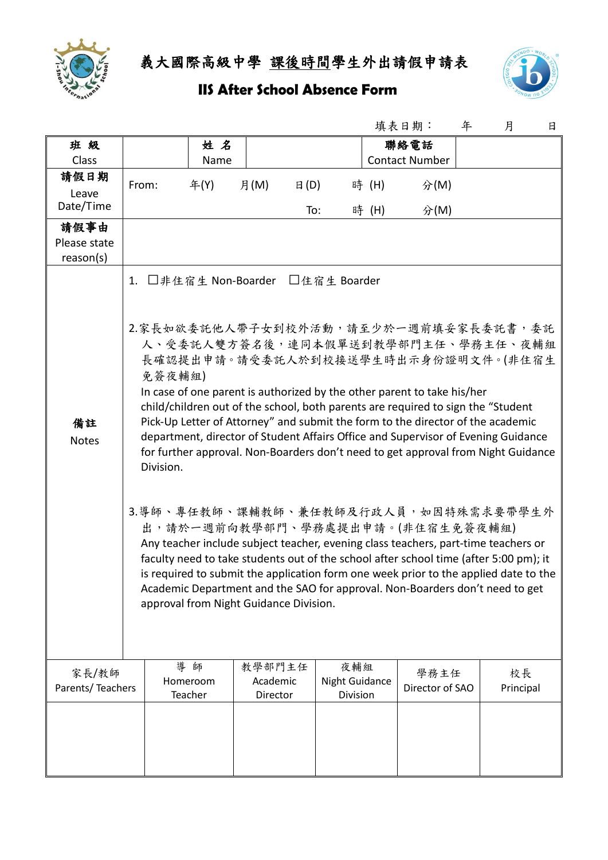

義大國際高級中學 課後時間學生外出請假申請表

## **IIS After School Absence Form**



|                           |                                                                                                                                                                                                                                                                                                                                                                                                                                                                                                                                                                                                              |                           |                                |                                          |       | 填表日期:                   | 年 | 月               | 日 |
|---------------------------|--------------------------------------------------------------------------------------------------------------------------------------------------------------------------------------------------------------------------------------------------------------------------------------------------------------------------------------------------------------------------------------------------------------------------------------------------------------------------------------------------------------------------------------------------------------------------------------------------------------|---------------------------|--------------------------------|------------------------------------------|-------|-------------------------|---|-----------------|---|
| 班級                        |                                                                                                                                                                                                                                                                                                                                                                                                                                                                                                                                                                                                              | 姓名                        |                                |                                          |       | 聯絡電話                    |   |                 |   |
| Class                     |                                                                                                                                                                                                                                                                                                                                                                                                                                                                                                                                                                                                              | Name                      |                                |                                          |       | <b>Contact Number</b>   |   |                 |   |
| 請假日期<br>Leave             | From:                                                                                                                                                                                                                                                                                                                                                                                                                                                                                                                                                                                                        | 年(Y)                      | 月(M)<br>$\boxminus$ (D)        |                                          | 時 (H) | 分(M)                    |   |                 |   |
| Date/Time                 |                                                                                                                                                                                                                                                                                                                                                                                                                                                                                                                                                                                                              |                           | To:                            |                                          | 時 (H) | 分(M)                    |   |                 |   |
| 請假事由                      |                                                                                                                                                                                                                                                                                                                                                                                                                                                                                                                                                                                                              |                           |                                |                                          |       |                         |   |                 |   |
| Please state              |                                                                                                                                                                                                                                                                                                                                                                                                                                                                                                                                                                                                              |                           |                                |                                          |       |                         |   |                 |   |
| reason(s)                 |                                                                                                                                                                                                                                                                                                                                                                                                                                                                                                                                                                                                              |                           |                                |                                          |       |                         |   |                 |   |
| 備註<br><b>Notes</b>        | □非住宿生 Non-Boarder □住宿生 Boarder<br>1.<br>2.家長如欲委託他人帶子女到校外活動,請至少於一週前填妥家長委託書,委託<br>人、受委託人雙方簽名後,連同本假單送到教學部門主任、學務主任、夜輔組<br>長確認提出申請。請受委託人於到校接送學生時出示身份證明文件。(非住宿生<br>免簽夜輔組)<br>In case of one parent is authorized by the other parent to take his/her<br>child/children out of the school, both parents are required to sign the "Student<br>Pick-Up Letter of Attorney" and submit the form to the director of the academic<br>department, director of Student Affairs Office and Supervisor of Evening Guidance<br>for further approval. Non-Boarders don't need to get approval from Night Guidance<br>Division. |                           |                                |                                          |       |                         |   |                 |   |
|                           | 3.導師、專任教師、課輔教師、兼任教師及行政人員,如因特殊需求要帶學生外<br>出,請於一週前向教學部門、學務處提出申請。(非住宿生免簽夜輔組)<br>Any teacher include subject teacher, evening class teachers, part-time teachers or<br>faculty need to take students out of the school after school time (after 5:00 pm); it<br>is required to submit the application form one week prior to the applied date to the<br>Academic Department and the SAO for approval. Non-Boarders don't need to get<br>approval from Night Guidance Division.                                                                                                                                    |                           |                                |                                          |       |                         |   |                 |   |
| 家長/教師<br>Parents/Teachers |                                                                                                                                                                                                                                                                                                                                                                                                                                                                                                                                                                                                              | 導師<br>Homeroom<br>Teacher | 教學部門主任<br>Academic<br>Director | 夜輔組<br><b>Night Guidance</b><br>Division |       | 學務主任<br>Director of SAO |   | 校長<br>Principal |   |
|                           |                                                                                                                                                                                                                                                                                                                                                                                                                                                                                                                                                                                                              |                           |                                |                                          |       |                         |   |                 |   |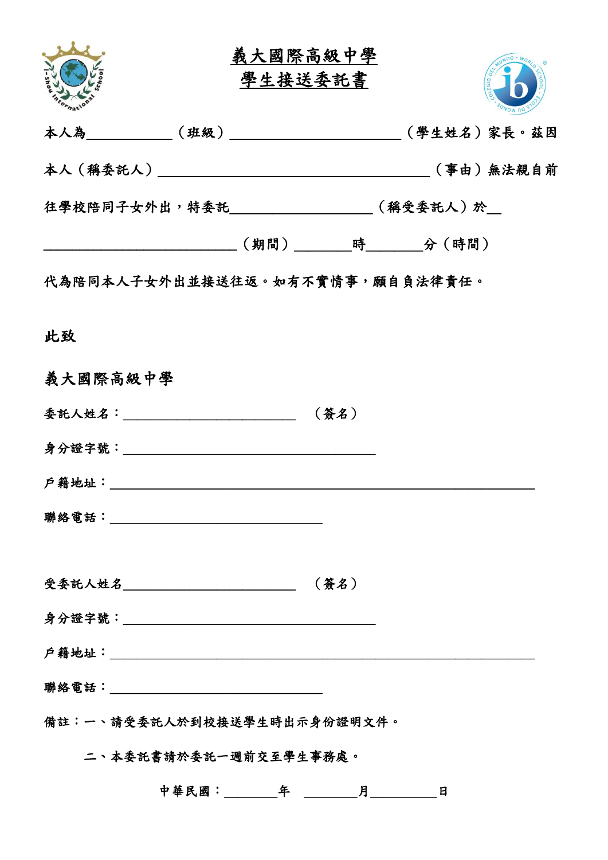

義大國際高級中學 學生接送委託書



|          | 往學校陪同子女外出,特委託___________________(稱受委託人)於__               |      |  |
|----------|----------------------------------------------------------|------|--|
|          | ____________________________(期間)_________時_________分(時間) |      |  |
|          | 代為陪同本人子女外出並接送往返。如有不實情事,願自負法律責任。                          |      |  |
| 此致       |                                                          |      |  |
| 義大國際高級中學 |                                                          |      |  |
|          | 委託人姓名:_________________________________(簽名)              |      |  |
|          |                                                          |      |  |
|          |                                                          |      |  |
|          |                                                          |      |  |
|          | 受委託人姓名________________________                           | (簽名) |  |
|          |                                                          |      |  |
|          |                                                          |      |  |
|          |                                                          |      |  |
|          | 備註:一、請受委託人於到校接送學生時出示身份證明文件。                              |      |  |
|          | 二、本委託書請於委託一週前交至學生事務處。                                    |      |  |
|          |                                                          |      |  |